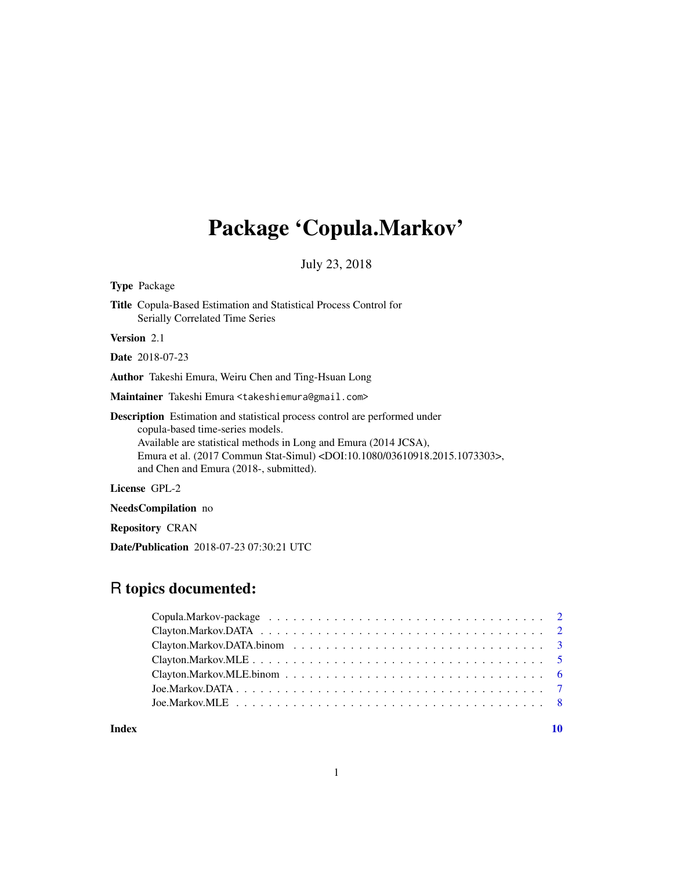# Package 'Copula.Markov'

July 23, 2018

| <b>Type Package</b>                                                                                                                                                                                                                                                                                                                 |
|-------------------------------------------------------------------------------------------------------------------------------------------------------------------------------------------------------------------------------------------------------------------------------------------------------------------------------------|
| <b>Title</b> Copula-Based Estimation and Statistical Process Control for<br>Serially Correlated Time Series                                                                                                                                                                                                                         |
| <b>Version</b> 2.1                                                                                                                                                                                                                                                                                                                  |
| <b>Date</b> 2018-07-23                                                                                                                                                                                                                                                                                                              |
| <b>Author</b> Takeshi Emura, Weiru Chen and Ting-Hsuan Long                                                                                                                                                                                                                                                                         |
| Maintainer Takeshi Emura <takeshiemura@gmail.com></takeshiemura@gmail.com>                                                                                                                                                                                                                                                          |
| <b>Description</b> Estimation and statistical process control are performed under<br>copula-based time-series models.<br>Available are statistical methods in Long and Emura (2014 JCSA),<br>Emura et al. (2017 Commun Stat-Simul) <doi:10.1080 03610918.2015.1073303="">,<br/>and Chen and Emura (2018-, submitted).</doi:10.1080> |
| License GPL-2                                                                                                                                                                                                                                                                                                                       |
| <b>NeedsCompilation</b> no                                                                                                                                                                                                                                                                                                          |

Repository CRAN

Date/Publication 2018-07-23 07:30:21 UTC

# R topics documented:

| Joe.Markov.MLE $\ldots \ldots \ldots \ldots \ldots \ldots \ldots \ldots \ldots \ldots \ldots \ldots \ldots$ |  |
|-------------------------------------------------------------------------------------------------------------|--|
|                                                                                                             |  |

#### $\blacksquare$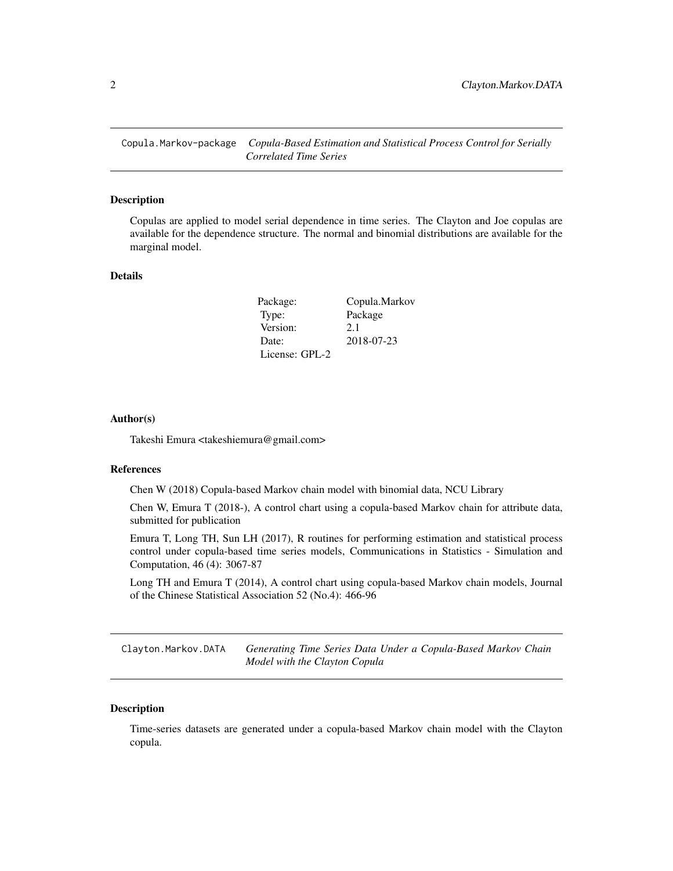<span id="page-1-0"></span>Copula.Markov-package *Copula-Based Estimation and Statistical Process Control for Serially Correlated Time Series*

#### Description

Copulas are applied to model serial dependence in time series. The Clayton and Joe copulas are available for the dependence structure. The normal and binomial distributions are available for the marginal model.

#### Details

| Package:       | Copula.Markov |
|----------------|---------------|
| Type:          | Package       |
| Version:       | 2.1           |
| Date:          | 2018-07-23    |
| License: GPL-2 |               |

# Author(s)

Takeshi Emura <takeshiemura@gmail.com>

#### References

Chen W (2018) Copula-based Markov chain model with binomial data, NCU Library

Chen W, Emura T (2018-), A control chart using a copula-based Markov chain for attribute data, submitted for publication

Emura T, Long TH, Sun LH (2017), R routines for performing estimation and statistical process control under copula-based time series models, Communications in Statistics - Simulation and Computation, 46 (4): 3067-87

Long TH and Emura T (2014), A control chart using copula-based Markov chain models, Journal of the Chinese Statistical Association 52 (No.4): 466-96

Clayton.Markov.DATA *Generating Time Series Data Under a Copula-Based Markov Chain Model with the Clayton Copula*

#### Description

Time-series datasets are generated under a copula-based Markov chain model with the Clayton copula.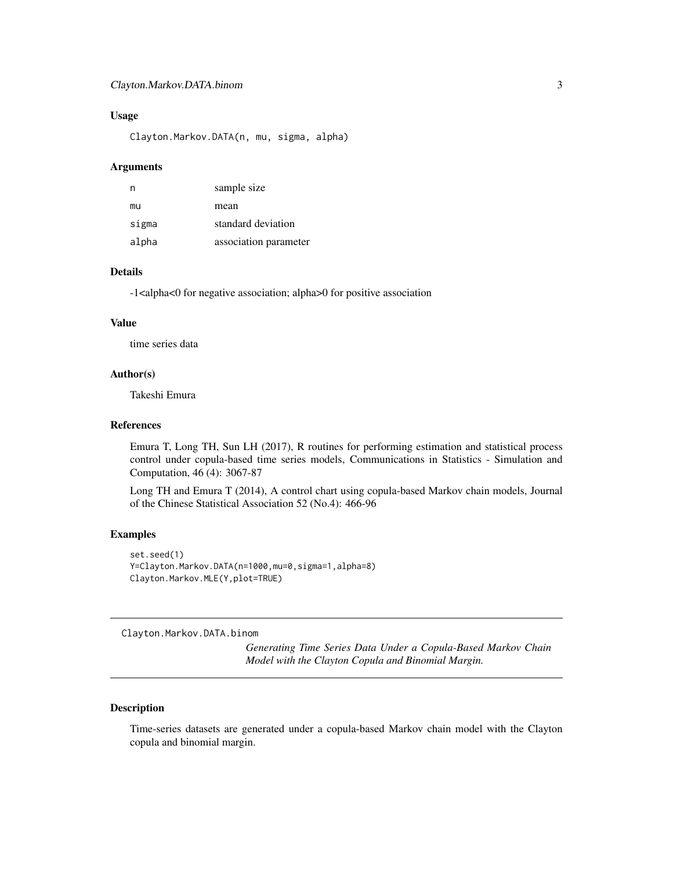#### <span id="page-2-0"></span>Usage

Clayton.Markov.DATA(n, mu, sigma, alpha)

#### Arguments

| n     | sample size           |
|-------|-----------------------|
| mu    | mean                  |
| sigma | standard deviation    |
| alpha | association parameter |

# Details

-1<alpha<0 for negative association; alpha>0 for positive association

### Value

time series data

#### Author(s)

Takeshi Emura

# References

Emura T, Long TH, Sun LH (2017), R routines for performing estimation and statistical process control under copula-based time series models, Communications in Statistics - Simulation and Computation, 46 (4): 3067-87

Long TH and Emura T (2014), A control chart using copula-based Markov chain models, Journal of the Chinese Statistical Association 52 (No.4): 466-96

#### Examples

```
set.seed(1)
Y=Clayton.Markov.DATA(n=1000,mu=0,sigma=1,alpha=8)
Clayton.Markov.MLE(Y,plot=TRUE)
```
Clayton.Markov.DATA.binom

*Generating Time Series Data Under a Copula-Based Markov Chain Model with the Clayton Copula and Binomial Margin.*

# Description

Time-series datasets are generated under a copula-based Markov chain model with the Clayton copula and binomial margin.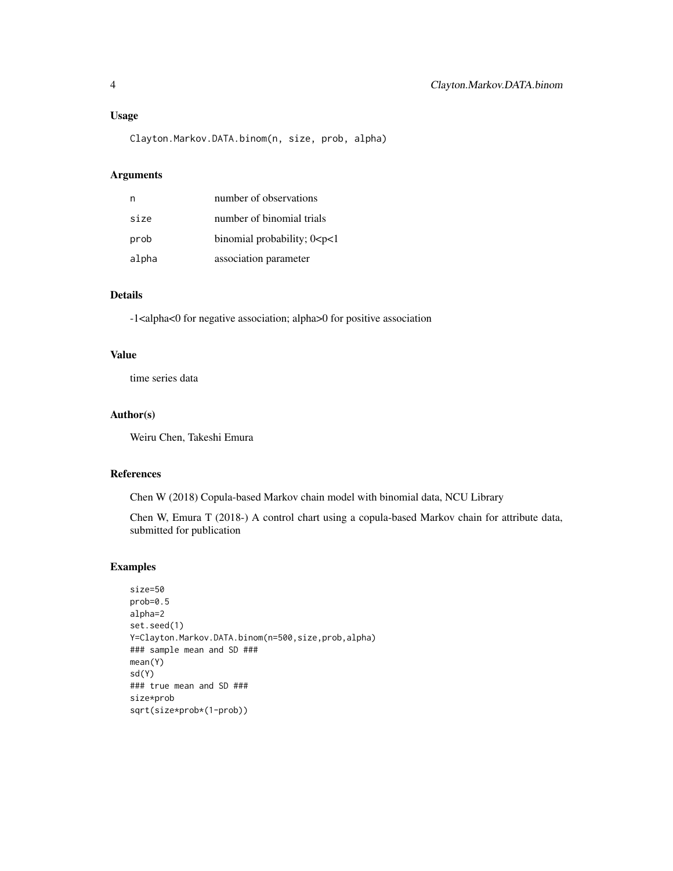#### Usage

Clayton.Markov.DATA.binom(n, size, prob, alpha)

# Arguments

| n     | number of observations            |
|-------|-----------------------------------|
| size  | number of binomial trials         |
| prob  | binomial probability; $0 < p < 1$ |
| alpha | association parameter             |

# Details

-1<alpha<0 for negative association; alpha>0 for positive association

# Value

time series data

#### Author(s)

Weiru Chen, Takeshi Emura

# References

Chen W (2018) Copula-based Markov chain model with binomial data, NCU Library

Chen W, Emura T (2018-) A control chart using a copula-based Markov chain for attribute data, submitted for publication

# Examples

```
size=50
prob=0.5
alpha=2
set.seed(1)
Y=Clayton.Markov.DATA.binom(n=500,size,prob,alpha)
### sample mean and SD ###
mean(Y)
sd(Y)
### true mean and SD ###
size*prob
sqrt(size*prob*(1-prob))
```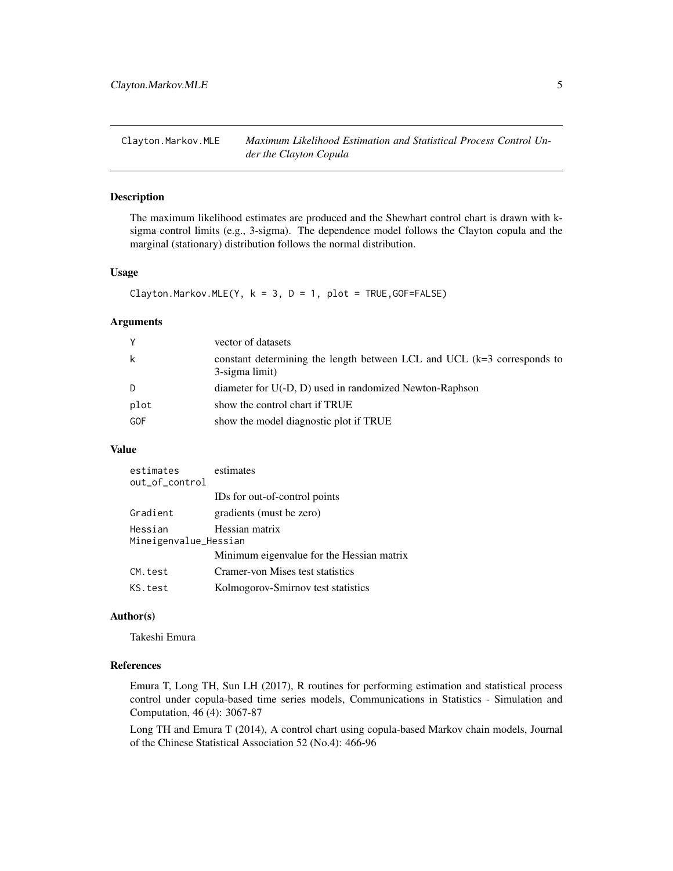<span id="page-4-0"></span>Clayton.Markov.MLE *Maximum Likelihood Estimation and Statistical Process Control Under the Clayton Copula*

#### Description

The maximum likelihood estimates are produced and the Shewhart control chart is drawn with ksigma control limits (e.g., 3-sigma). The dependence model follows the Clayton copula and the marginal (stationary) distribution follows the normal distribution.

#### Usage

Clayton.Markov.MLE(Y,  $k = 3$ ,  $D = 1$ ,  $plot = TRUE$ ,  $GOF = FALSE$ )

# Arguments

| Y    | vector of datasets                                                                          |
|------|---------------------------------------------------------------------------------------------|
| k    | constant determining the length between LCL and UCL $(k=3$ corresponds to<br>3-sigma limit) |
| D    | diameter for U(-D, D) used in randomized Newton-Raphson                                     |
| plot | show the control chart if TRUE                                                              |
| GOF  | show the model diagnostic plot if TRUE                                                      |

#### Value

| estimates<br>out_of_control                        | estimates                                 |
|----------------------------------------------------|-------------------------------------------|
|                                                    | IDs for out-of-control points             |
| Gradient                                           | gradients (must be zero)                  |
| Hessian matrix<br>Hessian<br>Mineigenvalue_Hessian |                                           |
|                                                    | Minimum eigenvalue for the Hessian matrix |
| CM.test                                            | Cramer-von Mises test statistics          |
| KS.test                                            | Kolmogorov-Smirnov test statistics        |

### Author(s)

Takeshi Emura

#### References

Emura T, Long TH, Sun LH (2017), R routines for performing estimation and statistical process control under copula-based time series models, Communications in Statistics - Simulation and Computation, 46 (4): 3067-87

Long TH and Emura T (2014), A control chart using copula-based Markov chain models, Journal of the Chinese Statistical Association 52 (No.4): 466-96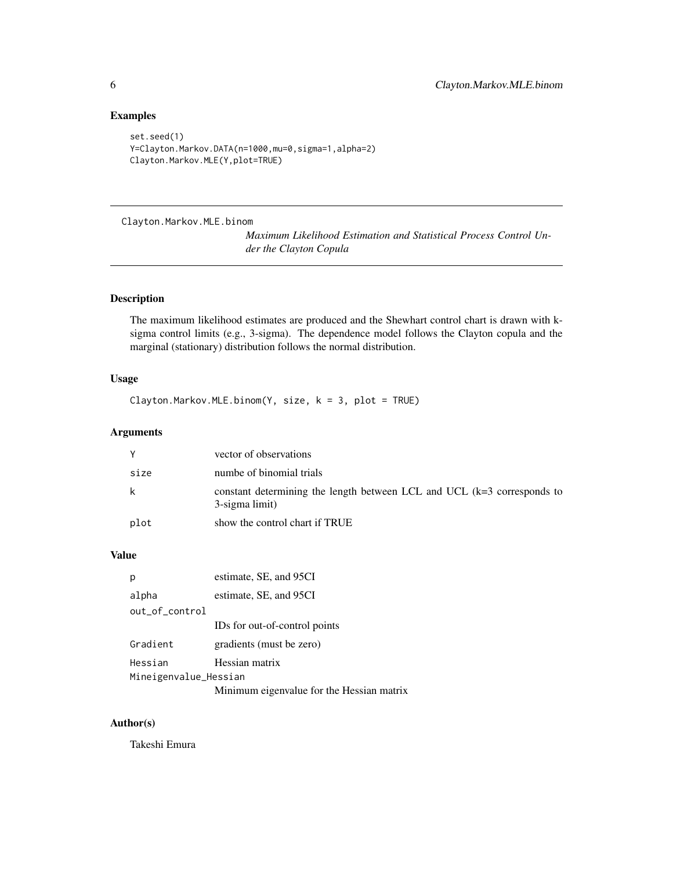# Examples

```
set.seed(1)
Y=Clayton.Markov.DATA(n=1000,mu=0,sigma=1,alpha=2)
Clayton.Markov.MLE(Y,plot=TRUE)
```
Clayton.Markov.MLE.binom

*Maximum Likelihood Estimation and Statistical Process Control Under the Clayton Copula*

# Description

The maximum likelihood estimates are produced and the Shewhart control chart is drawn with ksigma control limits (e.g., 3-sigma). The dependence model follows the Clayton copula and the marginal (stationary) distribution follows the normal distribution.

# Usage

Clayton.Markov.MLE.binom(Y, size,  $k = 3$ , plot = TRUE)

# Arguments

| Y    | vector of observations                                                                      |
|------|---------------------------------------------------------------------------------------------|
| size | numbe of binomial trials                                                                    |
| k    | constant determining the length between LCL and UCL $(k=3$ corresponds to<br>3-sigma limit) |
| plot | show the control chart if TRUE                                                              |

#### Value

| p                     | estimate, SE, and 95CI                    |
|-----------------------|-------------------------------------------|
| alpha                 | estimate, SE, and 95CI                    |
| out_of_control        |                                           |
|                       | IDs for out-of-control points             |
| Gradient              | gradients (must be zero)                  |
| Hessian               | Hessian matrix                            |
| Mineigenvalue_Hessian |                                           |
|                       | Minimum eigenvalue for the Hessian matrix |

# Author(s)

Takeshi Emura

<span id="page-5-0"></span>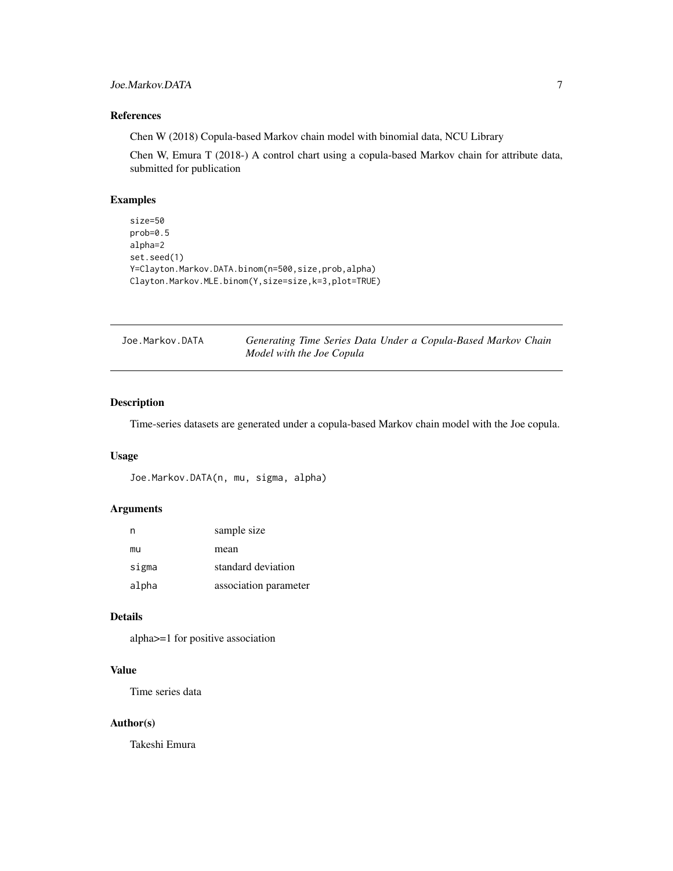# <span id="page-6-0"></span>Joe.Markov.DATA 7

# References

Chen W (2018) Copula-based Markov chain model with binomial data, NCU Library

Chen W, Emura T (2018-) A control chart using a copula-based Markov chain for attribute data, submitted for publication

# Examples

```
size=50
prob=0.5
alpha=2
set.seed(1)
Y=Clayton.Markov.DATA.binom(n=500,size,prob,alpha)
Clayton.Markov.MLE.binom(Y,size=size,k=3,plot=TRUE)
```

| Joe.Markov.DATA | Generating Time Series Data Under a Copula-Based Markov Chain |
|-----------------|---------------------------------------------------------------|
|                 | Model with the Joe Copula                                     |

# Description

Time-series datasets are generated under a copula-based Markov chain model with the Joe copula.

#### Usage

Joe.Markov.DATA(n, mu, sigma, alpha)

### Arguments

| n     | sample size           |
|-------|-----------------------|
| mu    | mean                  |
| sigma | standard deviation    |
| alpha | association parameter |

### Details

alpha>=1 for positive association

### Value

Time series data

#### Author(s)

Takeshi Emura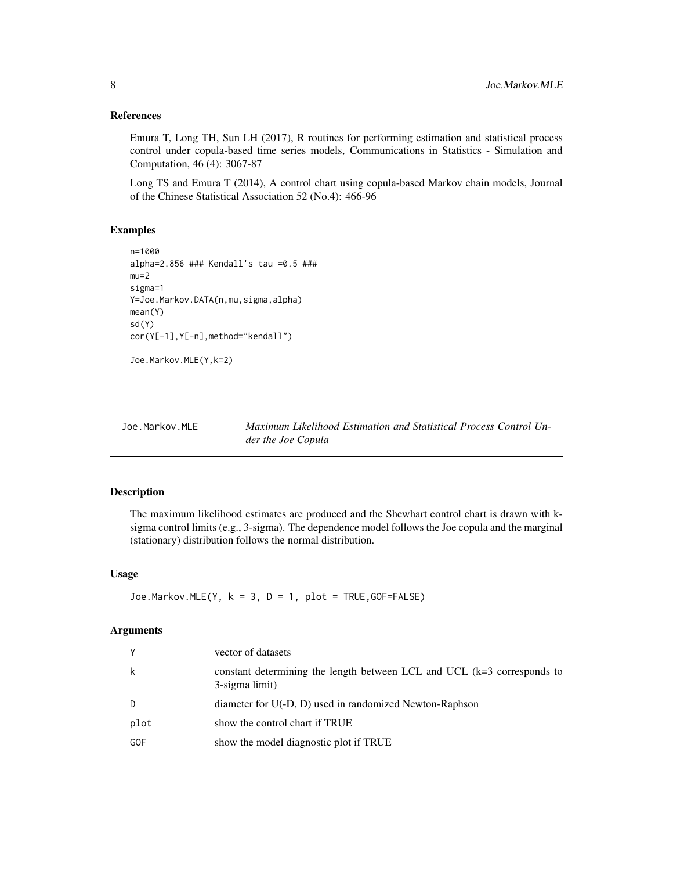# <span id="page-7-0"></span>References

Emura T, Long TH, Sun LH (2017), R routines for performing estimation and statistical process control under copula-based time series models, Communications in Statistics - Simulation and Computation, 46 (4): 3067-87

Long TS and Emura T (2014), A control chart using copula-based Markov chain models, Journal of the Chinese Statistical Association 52 (No.4): 466-96

# Examples

```
n=1000
alpha=2.856 ### Kendall's tau =0.5 ###
mu=2sigma=1
Y=Joe.Markov.DATA(n,mu,sigma,alpha)
mean(Y)
sd(Y)
cor(Y[-1],Y[-n],method="kendall")
```
Joe.Markov.MLE(Y,k=2)

| Joe.Markov.MLE | Maximum Likelihood Estimation and Statistical Process Control Un- |
|----------------|-------------------------------------------------------------------|
|                | der the Joe Copula                                                |

#### Description

The maximum likelihood estimates are produced and the Shewhart control chart is drawn with ksigma control limits (e.g., 3-sigma). The dependence model follows the Joe copula and the marginal (stationary) distribution follows the normal distribution.

#### Usage

```
Joe.Markov.MLE(Y, k = 3, D = 1, plot = TRUE, GOF=FALSE)
```
### Arguments

| Υ    | vector of datasets                                                                          |
|------|---------------------------------------------------------------------------------------------|
| k    | constant determining the length between LCL and UCL $(k=3$ corresponds to<br>3-sigma limit) |
| D.   | diameter for U(-D, D) used in randomized Newton-Raphson                                     |
| plot | show the control chart if TRUE                                                              |
| GOF  | show the model diagnostic plot if TRUE                                                      |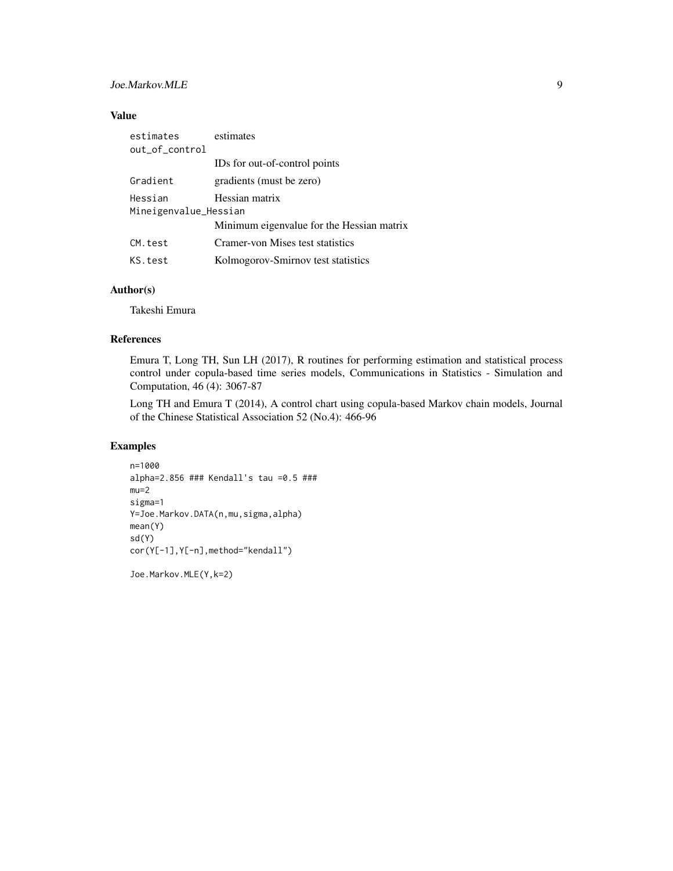# Joe.Markov.MLE 9

# Value

| estimates             | estimates                                 |  |
|-----------------------|-------------------------------------------|--|
| out of control        |                                           |  |
|                       | IDs for out-of-control points             |  |
| Gradient              | gradients (must be zero)                  |  |
| Hessian               | Hessian matrix                            |  |
| Mineigenvalue_Hessian |                                           |  |
|                       | Minimum eigenvalue for the Hessian matrix |  |
| CM.test               | Cramer-von Mises test statistics          |  |
| KS test               | Kolmogorov-Smirnov test statistics        |  |

# Author(s)

Takeshi Emura

# References

Emura T, Long TH, Sun LH (2017), R routines for performing estimation and statistical process control under copula-based time series models, Communications in Statistics - Simulation and Computation, 46 (4): 3067-87

Long TH and Emura T (2014), A control chart using copula-based Markov chain models, Journal of the Chinese Statistical Association 52 (No.4): 466-96

#### Examples

```
n=1000
alpha=2.856 ### Kendall's tau =0.5 ###
mu=2sigma=1
Y=Joe.Markov.DATA(n,mu,sigma,alpha)
mean(Y)
sd(Y)
cor(Y[-1],Y[-n],method="kendall")
```
Joe.Markov.MLE(Y,k=2)